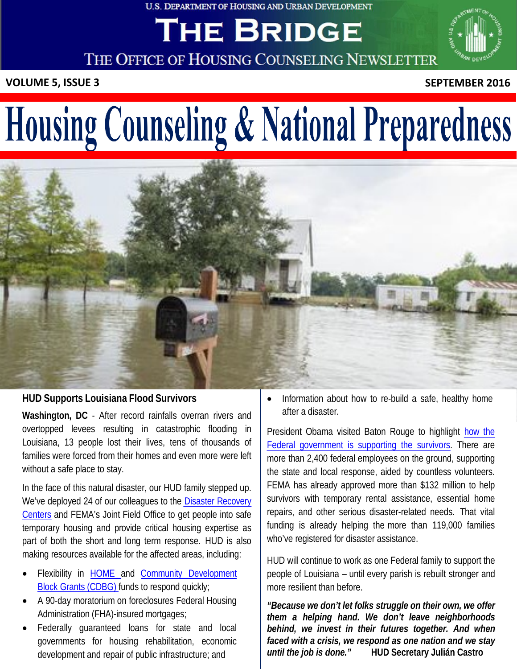U.S. DEPARTMENT OF HOUSING AND URBAN DEVELOPMENT

# THE BRIDGE



THE OFFICE OF HOUSING COUNSELING NEWSLETTER

 **VOLUME 5, ISSUE 3 SEPTEMBER 2016**

# Housing Counseling & National Preparedness



#### **HUD Supports Louisiana Flood Survivors**

**Washington, DC** - After record rainfalls overran rivers and overtopped levees resulting in catastrophic flooding in Louisiana, 13 people lost their lives, tens of thousands of families were forced from their homes and even more were left without a safe place to stay.

In the face of this natural disaster, our HUD family stepped up. We've deployed 24 of our colleagues to the [Disaster Recovery](https://www.fema.gov/disaster-recovery-centers)  [Centers](https://www.fema.gov/disaster-recovery-centers) and FEMA's Joint Field Office to get people into safe temporary housing and provide critical housing expertise as part of both the short and long term response. HUD is also making resources available for the affected areas, including:

- Flexibility in **HOME** and [Community Development](http://portal.hud.gov/hudportal/HUD?src=/program_offices/comm_planning/communitydevelopment/programs) **Block Grants (CDBG)** funds to respond quickly;
- • A 90-day moratorium on foreclosures Federal Housing Administration (FHA)-insured mortgages;
- • Federally guaranteed loans for state and local governments for housing rehabilitation, economic development and repair of public infrastructure; and

 • Information about how to re-build a safe, healthy home after a disaster.

President Obama visited Baton Rouge to highlight how the [Federal government is supporting the survivors.](https://www.whitehouse.gov/blog/2016/08/17/live-updates-what-you-need-know-about-flooding-louisiana) There are more than 2,400 federal employees on the ground, supporting the state and local response, aided by countless volunteers. FEMA has already approved more than \$132 million to help survivors with temporary rental assistance, essential home repairs, and other serious disaster-related needs. That vital funding is already helping the more than 119,000 families who've registered for disaster assistance.

 HUD will continue to work as one Federal family to support the people of Louisiana – until every parish is rebuilt stronger and more resilient than before.

 *"Because we don't let folks struggle on their own, we offer them a helping hand. We don't leave neighborhoods behind, we invest in their futures together. And when faced with a crisis, we respond as one nation and we stay* until the job is done." *until the job is done."* **HUD Secretary Julián Castro**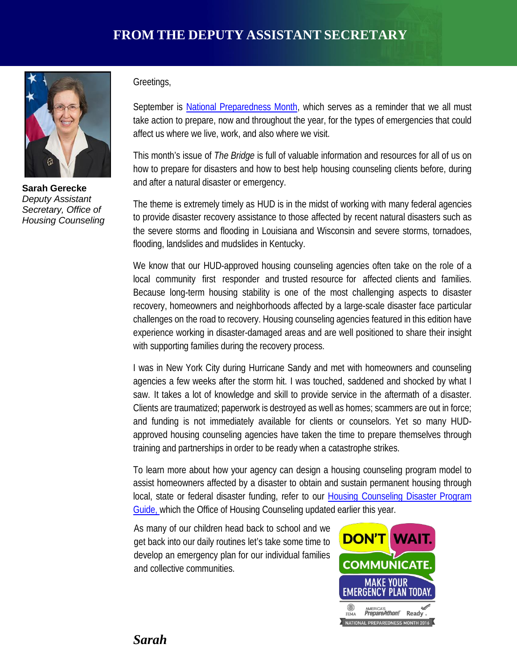

 **Sarah Gerecke**   *Deputy Assistant Secretary, Office of Housing Counseling* 

#### Greetings,

September is [National Preparedness Month,](https://www.ready.gov/september) which serves as a reminder that we all must take action to prepare, now and throughout the year, for the types of emergencies that could affect us where we live, work, and also where we visit.

 This month's issue of *The Bridge* is full of valuable information and resources for all of us on how to prepare for disasters and how to best help housing counseling clients before, during and after a natural disaster or emergency.

 The theme is extremely timely as HUD is in the midst of working with many federal agencies to provide disaster recovery assistance to those affected by recent natural disasters such as the severe storms and flooding in Louisiana and Wisconsin and severe storms, tornadoes, flooding, landslides and mudslides in Kentucky.

 We know that our HUD-approved housing counseling agencies often take on the role of a local community first responder and trusted resource for affected clients and families. Because long-term housing stability is one of the most challenging aspects to disaster recovery, homeowners and neighborhoods affected by a large-scale disaster face particular challenges on the road to recovery. Housing counseling agencies featured in this edition have experience working in disaster-damaged areas and are well positioned to share their insight with supporting families during the recovery process.

 I was in New York City during Hurricane Sandy and met with homeowners and counseling agencies a few weeks after the storm hit. I was touched, saddened and shocked by what I saw. It takes a lot of knowledge and skill to provide service in the aftermath of a disaster. Clients are traumatized; paperwork is destroyed as well as homes; scammers are out in force; and funding is not immediately available for clients or counselors. Yet so many HUD- approved housing counseling agencies have taken the time to prepare themselves through training and partnerships in order to be ready when a catastrophe strikes.

 To learn more about how your agency can design a housing counseling program model to assist homeowners affected by a disaster to obtain and sustain permanent housing through local, state or federal disaster funding, refer to our Housing Counseling Disaster Program [Guide, w](https://www.hudexchange.info/resources/documents/Housing-Counseling-Disaster-Program-Guide.pdf)hich the Office of Housing Counseling updated earlier this year.

 As many of our children head back to school and we get back into our daily routines let's take some time to develop an emergency plan for our individual families and collective communities.

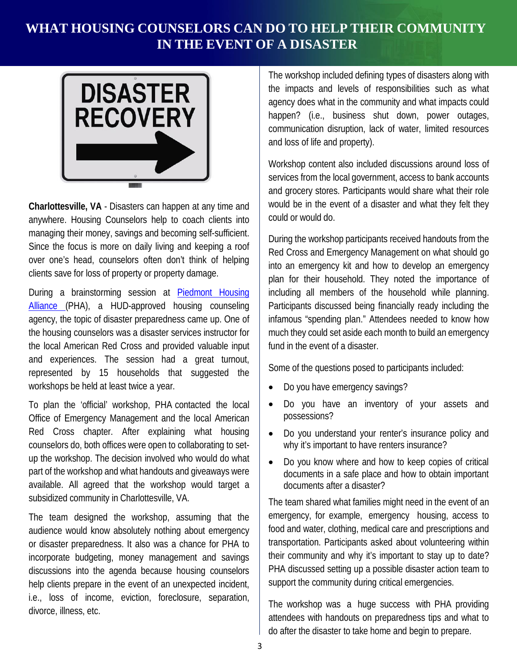# **WHAT HOUSING COUNSELORS CAN DO TO HELP THEIR COMMUNITY IN THE EVENT OF A DISASTER**



 **Charlottesville, VA** - Disasters can happen at any time and anywhere. Housing Counselors help to coach clients into managing their money, savings and becoming self-sufficient. Since the focus is more on daily living and keeping a roof over one's head, counselors often don't think of helping clients save for loss of property or property damage.

During a brainstorming session at **Piedmont Housing** [Alliance \(](http://piedmonthousingalliance.org/)PHA), a HUD-approved housing counseling agency, the topic of disaster preparedness came up. One of the housing counselors was a disaster services instructor for the local American Red Cross and provided valuable input and experiences. The session had a great turnout, represented by 15 households that suggested the workshops be held at least twice a year.

 To plan the 'official' workshop, PHA contacted the local Office of Emergency Management and the local American Red Cross chapter. After explaining what housing counselors do, both offices were open to collaborating to set- up the workshop. The decision involved who would do what part of the workshop and what handouts and giveaways were available. All agreed that the workshop would target a subsidized community in Charlottesville, VA.

 The team designed the workshop, assuming that the audience would know absolutely nothing about emergency or disaster preparedness. It also was a chance for PHA to incorporate budgeting, money management and savings discussions into the agenda because housing counselors help clients prepare in the event of an unexpected incident, i.e., loss of income, eviction, foreclosure, separation, divorce, illness, etc.

 The workshop included defining types of disasters along with the impacts and levels of responsibilities such as what agency does what in the community and what impacts could happen? (i.e., business shut down, power outages, communication disruption, lack of water, limited resources and loss of life and property).

 Workshop content also included discussions around loss of services from the local government, access to bank accounts and grocery stores. Participants would share what their role would be in the event of a disaster and what they felt they could or would do.

 During the workshop participants received handouts from the Red Cross and Emergency Management on what should go into an emergency kit and how to develop an emergency plan for their household. They noted the importance of including all members of the household while planning. Participants discussed being financially ready including the infamous "spending plan." Attendees needed to know how much they could set aside each month to build an emergency fund in the event of a disaster.

Some of the questions posed to participants included:

- Do you have emergency savings?
- • Do you have an inventory of your assets and possessions?
- • Do you understand your renter's insurance policy and why it's important to have renters insurance?
- Do you know where and how to keep copies of critical documents in a safe place and how to obtain important documents after a disaster?

 The team shared what families might need in the event of an emergency, for example, emergency housing, access to food and water, clothing, medical care and prescriptions and transportation. Participants asked about volunteering within their community and why it's important to stay up to date? PHA discussed setting up a possible disaster action team to support the community during critical emergencies.

 The workshop was a huge success with PHA providing attendees with handouts on preparedness tips and what to do after the disaster to take home and begin to prepare.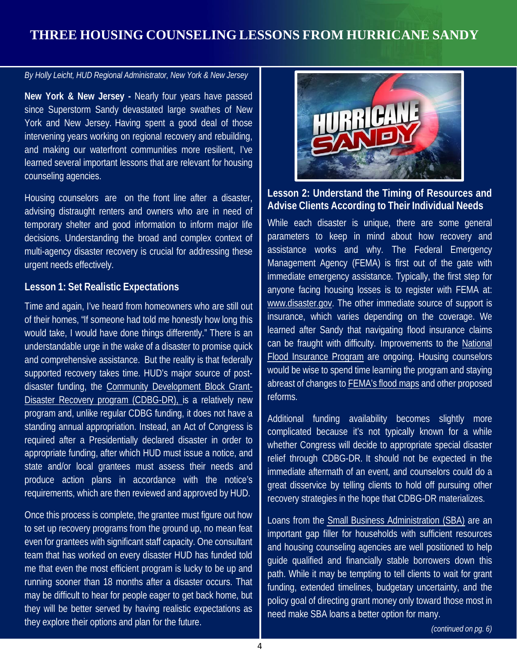# **THREE HOUSING COUNSELING LESSONS FROM HURRICANE SANDY**

*By Holly Leicht, HUD Regional Administrator, New York & New Jersey* 

**New York & New Jersey -** Nearly four years have passed since Superstorm Sandy devastated large swathes of New York and New Jersey. Having spent a good deal of those intervening years working on regional recovery and rebuilding, and making our waterfront communities more resilient, I've learned several important lessons that are relevant for housing counseling agencies.

Housing counselors are on the front line after a disaster, advising distraught renters and owners who are in need of temporary shelter and good information to inform major life decisions. Understanding the broad and complex context of multi-agency disaster recovery is crucial for addressing these urgent needs effectively.

#### **Lesson 1: Set Realistic Expectations**

Time and again, I've heard from homeowners who are still out of their homes, "If someone had told me honestly how long this would take, I would have done things differently." There is an understandable urge in the wake of a disaster to promise quick and comprehensive assistance. But the reality is that federally supported recovery takes time. HUD's major source of postdisaster funding, the [Community Development Block Grant-](https://www.hudexchange.info/programs/cdbg-dr/)[Disaster Recovery program \(CDBG-DR\), is](https://www.hudexchange.info/programs/cdbg-dr/) a relatively new program and, unlike regular CDBG funding, it does not have a standing annual appropriation. Instead, an Act of Congress is required after a Presidentially declared disaster in order to appropriate funding, after which HUD must issue a notice, and state and/or local grantees must assess their needs and produce action plans in accordance with the notice's requirements, which are then reviewed and approved by HUD.

Once this process is complete, the grantee must figure out how to set up recovery programs from the ground up, no mean feat even for grantees with significant staff capacity. One consultant team that has worked on every disaster HUD has funded told me that even the most efficient program is lucky to be up and running sooner than 18 months after a disaster occurs. That may be difficult to hear for people eager to get back home, but they will be better served by having realistic expectations as they explore their options and plan for the future.



#### **Lesson 2: Understand the Timing of Resources and Advise Clients According to Their Individual Needs**

While each disaster is unique, there are some general parameters to keep in mind about how recovery and assistance works and why. The Federal Emergency Management Agency (FEMA) is first out of the gate with immediate emergency assistance. Typically, the first step for anyone facing housing losses is to register with FEMA at: [www.disaster.gov.](http://www.fema.gov/) The other immediate source of support is insurance, which varies depending on the coverage. We learned after Sandy that navigating flood insurance claims can be fraught with difficulty. Improvements to the National [Flood Insurance Program](https://www.fema.gov/national-flood-insurance-program) are ongoing. Housing counselors would be wise to spend time learning the program and staying abreast of changes to [FEMA's flood maps](https://msc.fema.gov/portal) and other proposed reforms.

Additional funding availability becomes slightly more complicated because it's not typically known for a while whether Congress will decide to appropriate special disaster relief through CDBG-DR. It should not be expected in the immediate aftermath of an event, and counselors could do a great disservice by telling clients to hold off pursuing other recovery strategies in the hope that CDBG-DR materializes.

Loans from the [Small Business Administration \(SBA\)](https://www.sba.gov/loans-grants/see-what-sba-offers/sba-loan-programs/disaster-loans) are an important gap filler for households with sufficient resources and housing counseling agencies are well positioned to help guide qualified and financially stable borrowers down this path. While it may be tempting to tell clients to wait for grant funding, extended timelines, budgetary uncertainty, and the policy goal of directing grant money only toward those most in need make SBA loans a better option for many.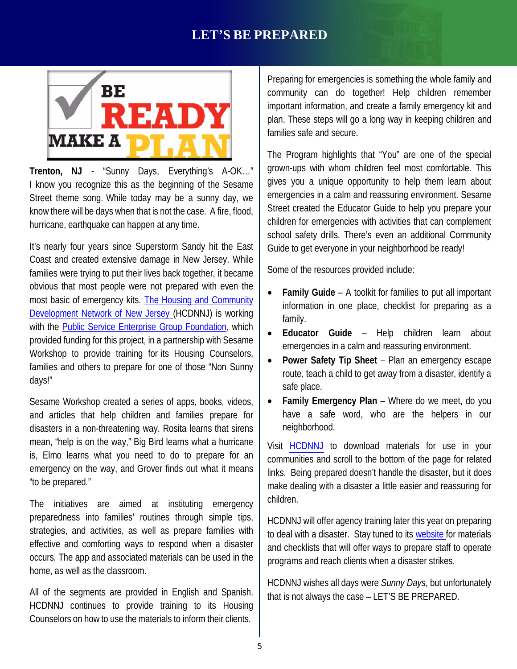# **LET'S BE PREPARED**



 **Trenton, NJ** - "Sunny Days, Everything's A-OK…" I know you recognize this as the beginning of the Sesame Street theme song. While today may be a sunny day, we know there will be days when that is not the case. A fire, flood, hurricane, earthquake can happen at any time.

 It's nearly four years since Superstorm Sandy hit the East Coast and created extensive damage in New Jersey. While families were trying to put their lives back together, it became obvious that most people were not prepared with even the most basic of emergency kits. **The Housing and Community** [Development Network of New Jersey \(](http://www.hcdnnj.org/)HCDNNJ) is working with the **Public Service Enterprise Group Foundation**, which provided funding for this project, in a partnership with Sesame Workshop to provide training for its Housing Counselors, families and others to prepare for one of those "Non Sunny days!"

 Sesame Workshop created a series of apps, books, videos, and articles that help children and families prepare for disasters in a non-threatening way. Rosita learns that sirens mean, "help is on the way," Big Bird learns what a hurricane is, Elmo learns what you need to do to prepare for an emergency on the way, and Grover finds out what it means "to be prepared."

 The initiatives are aimed at instituting emergency preparedness into families' routines through simple tips, strategies, and activities, as well as prepare families with effective and comforting ways to respond when a disaster occurs. The app and associated materials can be used in the home, as well as the classroom.

 All of the segments are provided in English and Spanish. HCDNNJ continues to provide training to its Housing Counselors on how to use the materials to inform their clients.

 Preparing for emergencies is something the whole family and community can do together! Help children remember important information, and create a family emergency kit and plan. These steps will go a long way in keeping children and families safe and secure.

 The Program highlights that "You" are one of the special grown-ups with whom children feel most comfortable. This gives you a unique opportunity to help them learn about emergencies in a calm and reassuring environment. Sesame Street created the Educator Guide to help you prepare your children for emergencies with activities that can complement school safety drills. There's even an additional Community Guide to get everyone in your neighborhood be ready!

Some of the resources provided include:

- • **Family Guide**  A toolkit for families to put all important information in one place, checklist for preparing as a family.
- • **Educator Guide**  Help children learn about emergencies in a calm and reassuring environment.
- • **Power Safety Tip Sheet**  Plan an emergency escape route, teach a child to get away from a disaster, identify a safe place.
- • **Family Emergency Plan**  Where do we meet, do you have a safe word, who are the helpers in our neighborhood.

Visit [HCDNNJ](http://www.hcdnnj.org/ta-training) to download materials for use in your communities and scroll to the bottom of the page for related links. Being prepared doesn't handle the disaster, but it does make dealing with a disaster a little easier and reassuring for children.

HCDNNJ will offer agency training later this year on preparing to deal with a disaster. Stay tuned to its [website f](http://www.hcdnnj.org/ta-training)or materials and checklists that will offer ways to prepare staff to operate programs and reach clients when a disaster strikes.

HCDNNJ wishes all days were *Sunny Days*, but unfortunately that is not always the case – LET'S BE PREPARED.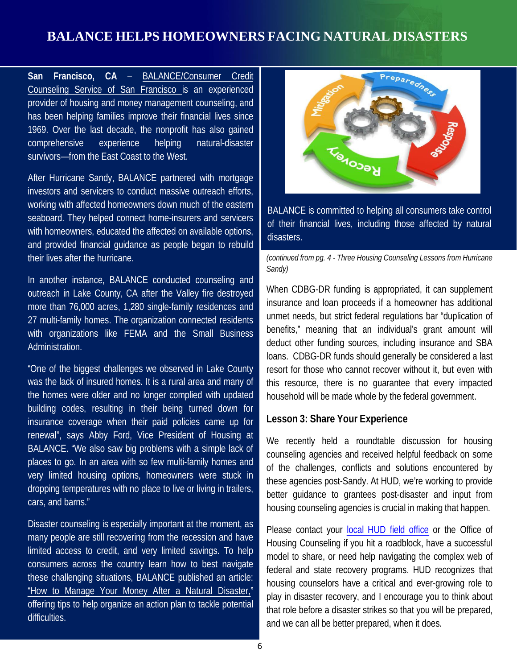# **BALANCE HELPS HOMEOWNERS FACING NATURAL DISASTERS**

**San Francisco, CA** – [BALANCE/Consumer Credit](https://www.balancepro.org/)  [Counseling Service of San Francisco](https://www.balancepro.org/) is an experienced provider of housing and money management counseling, and has been helping families improve their financial lives since 1969. Over the last decade, the nonprofit has also gained comprehensive experience helping natural-disaster survivors—from the East Coast to the West.

After Hurricane Sandy, BALANCE partnered with mortgage investors and servicers to conduct massive outreach efforts, working with affected homeowners down much of the eastern seaboard. They helped connect home-insurers and servicers with homeowners, educated the affected on available options, and provided financial guidance as people began to rebuild their lives after the hurricane.

In another instance, BALANCE conducted counseling and outreach in Lake County, CA after the Valley fire destroyed more than 76,000 acres, 1,280 single-family residences and 27 multi-family homes. The organization connected residents with organizations like FEMA and the Small Business Administration.

"One of the biggest challenges we observed in Lake County was the lack of insured homes. It is a rural area and many of the homes were older and no longer complied with updated building codes, resulting in their being turned down for insurance coverage when their paid policies came up for renewal", says Abby Ford, Vice President of Housing at BALANCE. "We also saw big problems with a simple lack of places to go. In an area with so few multi-family homes and very limited housing options, homeowners were stuck in dropping temperatures with no place to live or living in trailers, cars, and barns."

Disaster counseling is especially important at the moment, as many people are still recovering from the recession and have limited access to credit, and very limited savings. To help consumers across the country learn how to best navigate these challenging situations, BALANCE published an article: ["How to Manage Your Money After a Natural Disaster,"](https://www.balancepro.org/resources/articles/how-to-manage-your-money-after-a-natural-disaster)  offering tips to help organize an action plan to tackle potential difficulties.



 BALANCE is committed to helping all consumers take control of their financial lives, including those affected by natural disasters.

 *(continued from pg. 4 - Three Housing Counseling Lessons from Hurricane Sandy)* 

 When CDBG-DR funding is appropriated, it can supplement insurance and loan proceeds if a homeowner has additional unmet needs, but strict federal regulations bar "duplication of benefits," meaning that an individual's grant amount will deduct other funding sources, including insurance and SBA loans. CDBG-DR funds should generally be considered a last resort for those who cannot recover without it, but even with this resource, there is no guarantee that every impacted household will be made whole by the federal government.

#### **Lesson 3: Share Your Experience**

 We recently held a roundtable discussion for housing counseling agencies and received helpful feedback on some of the challenges, conflicts and solutions encountered by these agencies post-Sandy. At HUD, we're working to provide better guidance to grantees post-disaster and input from housing counseling agencies is crucial in making that happen.

Please contact your [local HUD field office](http://portal.hud.gov/hudportal/HUD?src=/program_offices/field_policy_mgt/localoffices) or the Office of Housing Counseling if you hit a roadblock, have a successful model to share, or need help navigating the complex web of federal and state recovery programs. HUD recognizes that housing counselors have a critical and ever-growing role to play in disaster recovery, and I encourage you to think about that role before a disaster strikes so that you will be prepared, and we can all be better prepared, when it does.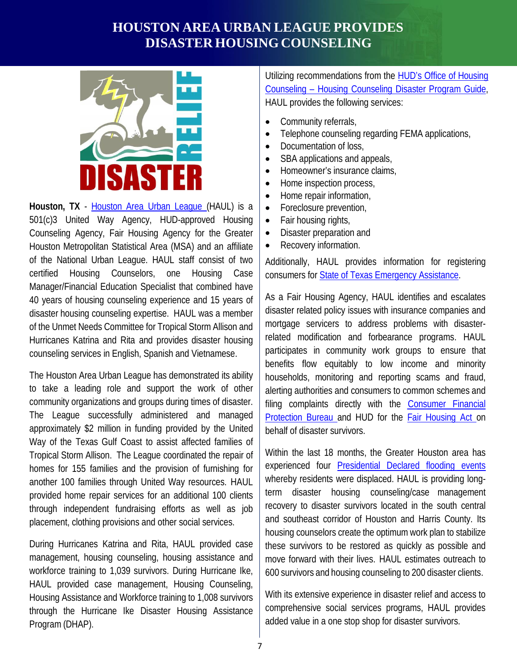# **HOUSTON AREA URBAN LEAGUE PROVIDES DISASTER HOUSING COUNSELING**



 **Houston, TX** - [Houston Area Urban League \(](http://www.haul.org/)HAUL) is a 501(c)3 United Way Agency, HUD-approved Housing Counseling Agency, Fair Housing Agency for the Greater Houston Metropolitan Statistical Area (MSA) and an affiliate of the National Urban League. HAUL staff consist of two certified Manager/Financial Education Specialist that combined have 40 years of housing counseling experience and 15 years of disaster housing counseling expertise. HAUL was a member of the Unmet Needs Committee for Tropical Storm Allison and Hurricanes Katrina and Rita and provides disaster housing counseling services in English, Spanish and Vietnamese. Housing Counselors, one Housing Case

 The Houston Area Urban League has demonstrated its ability to take a leading role and support the work of other community organizations and groups during times of disaster. The League successfully administered and managed approximately \$2 million in funding provided by the United Way of the Texas Gulf Coast to assist affected families of Tropical Storm Allison. The League coordinated the repair of homes for 155 families and the provision of furnishing for another 100 families through United Way resources. HAUL provided home repair services for an additional 100 clients through independent fundraising efforts as well as job placement, clothing provisions and other social services.

 During Hurricanes Katrina and Rita, HAUL provided case management, housing counseling, housing assistance and workforce training to 1,039 survivors. During Hurricane Ike, HAUL provided case management, Housing Counseling, Housing Assistance and Workforce training to 1,008 survivors through the Hurricane Ike Disaster Housing Assistance Program (DHAP).

Utilizing recommendations from the **HUD's Office of Housing**  [Counseling – Housing Counseling Disaster Program Guide,](https://www.hudexchange.info/resources/documents/Housing-Counseling-Disaster-Program-Guide.pdf) HAUL provides the following services:

- Community referrals,
- Telephone counseling regarding FEMA applications,
- Documentation of loss,
- SBA applications and appeals,
- Homeowner's insurance claims,
- Home inspection process,
- Home repair information,
- Foreclosure prevention,
- Fair housing rights,
- Disaster preparation and
- Recovery information.

 Additionally, HAUL provides information for registering consumers for **State of Texas Emergency Assistance**.

 As a Fair Housing Agency, HAUL identifies and escalates disaster related policy issues with insurance companies and mortgage servicers to address problems with disaster- related modification and forbearance programs. HAUL participates in community work groups to ensure that benefits flow equitably to low income and minority households, monitoring and reporting scams and fraud, alerting authorities and consumers to common schemes and filing complaints directly with the **Consumer Financial** [Protection Bureau a](http://www.consumerfinance.gov/complaint/)nd HUD for the **Fair Housing Act** on behalf of disaster survivors.

 Within the last 18 months, the Greater Houston area has experienced four **Presidential Declared flooding events**  whereby residents were displaced. HAUL is providing long- term disaster housing counseling/case management recovery to disaster survivors located in the south central and southeast corridor of Houston and Harris County. Its housing counselors create the optimum work plan to stabilize these survivors to be restored as quickly as possible and move forward with their lives. HAUL estimates outreach to 600 survivors and housing counseling to 200 disaster clients.

 With its extensive experience in disaster relief and access to comprehensive social services programs, HAUL provides added value in a one stop shop for disaster survivors.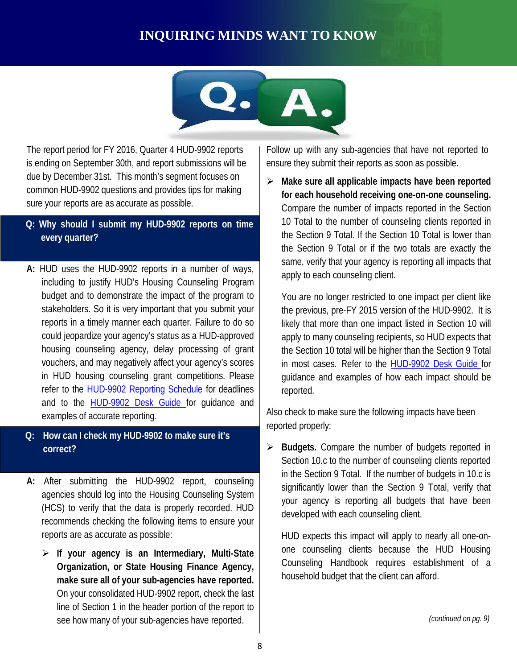# **INQUIRING MINDS WANT TO KNOW**



 The report period for FY 2016, Quarter 4 HUD-9902 reports is ending on September 30th, and report submissions will be due by December 31st. This month's segment focuses on common HUD-9902 questions and provides tips for making sure your reports are as accurate as possible.

#### **Q: Why should I submit my HUD-9902 reports on time every quarter?**

- **A:** HUD uses the HUD-9902 reports in a number of ways, including to justify HUD's Housing Counseling Program budget and to demonstrate the impact of the program to stakeholders. So it is very important that you submit your reports in a timely manner each quarter. Failure to do so could jeopardize your agency's status as a HUD-approved housing counseling agency, delay processing of grant vouchers, and may negatively affect your agency's scores in HUD housing counseling grant competitions. Please refer to the [HUD-9902 Reporting Schedule f](https://www.hudexchange.info/resource/5070/form-hud9902-reporting-schedule-for-housing-counseling-agencies/)or deadlines and to the **HUD-9902 Desk Guide** for guidance and examples of accurate reporting.
- **Q: How can I check my HUD-9902 to make sure it's correct?**
- **A:** After submitting the HUD-9902 report, counseling agencies should log into the Housing Counseling System (HCS) to verify that the data is properly recorded. HUD recommends checking the following items to ensure your reports are as accurate as possible:
	- **If your agency is an Intermediary, Multi-State Organization, or State Housing Finance Agency, make sure all of your sub-agencies have reported.** On your consolidated HUD-9902 report, check the last line of Section 1 in the header portion of the report to see how many of your sub-agencies have reported.

 Follow up with any sub-agencies that have not reported to ensure they submit their reports as soon as possible.

 **Make sure all applicable impacts have been reported for each household receiving one-on-one counseling.** Compare the number of impacts reported in the Section 10 Total to the number of counseling clients reported in the Section 9 Total. If the Section 10 Total is lower than same, verify that your agency is reporting all impacts that apply to each counseling client. the Section 9 Total or if the two totals are exactly the

 You are no longer restricted to one impact per client like the previous, pre-FY 2015 version of the HUD-9902. It is likely that more than one impact listed in Section 10 will apply to many counseling recipients, so HUD expects that the Section 10 total will be higher than the Section 9 Total in most cases. Refer to the <u>[HUD-9902 Desk Guide f](http://portal.hud.gov/hudportal/documents/huddoc?id=OHC_DG9902092515.pdf)</u>or guidance and examples of how each impact should be reported.

 Also check to make sure the following impacts have been reported properly:

 **Budgets.** Compare the number of budgets reported in Section 10.c to the number of counseling clients reported in the Section 9 Total. If the number of budgets in 10.c is significantly lower than the Section 9 Total, verify that your agency is reporting all budgets that have been developed with each counseling client.

 HUD expects this impact will apply to nearly all one-on- one counseling clients because the HUD Housing Counseling Handbook requires establishment of a household budget that the client can afford.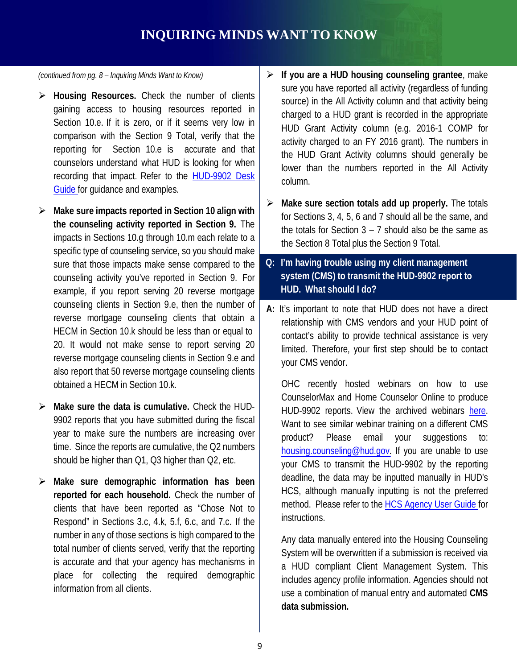# **INQUIRING MINDS WANT TO KNOW**

 *(continued from pg. 8 – Inquiring Minds Want to Know)* 

- **Housing Resources.** Check the number of clients gaining access to housing resources reported in Section 10.e. If it is zero, or if it seems very low in comparison with the Section 9 Total, verify that the reporting for Section 10.e is accurate and that counselors understand what HUD is looking for when recording that impact. Refer to the [HUD-9902 Desk](http://portal.hud.gov/hudportal/documents/huddoc?id=OHC_DG9902092515.pdf) [Guide f](http://portal.hud.gov/hudportal/documents/huddoc?id=OHC_DG9902092515.pdf)or guidance and examples.
- **Make sure impacts reported in Section 10 align with the counseling activity reported in Section 9.** The impacts in Sections 10.g through 10.m each relate to a specific type of counseling service, so you should make sure that those impacts make sense compared to the counseling activity you've reported in Section 9. For example, if you report serving 20 reverse mortgage counseling clients in Section 9.e, then the number of reverse mortgage counseling clients that obtain a HECM in Section 10.k should be less than or equal to 20. It would not make sense to report serving 20 reverse mortgage counseling clients in Section 9.e and also report that 50 reverse mortgage counseling clients obtained a HECM in Section 10.k.
- **Make sure the data is cumulative.** Check the HUD- 9902 reports that you have submitted during the fiscal year to make sure the numbers are increasing over time. Since the reports are cumulative, the Q2 numbers should be higher than Q1, Q3 higher than Q2, etc.
- **Make sure demographic information has been reported for each household.** Check the number of clients that have been reported as "Chose Not to Respond" in Sections 3.c, 4.k, 5.f, 6.c, and 7.c. If the number in any of those sections is high compared to the total number of clients served, verify that the reporting is accurate and that your agency has mechanisms in place for collecting the required demographic information from all clients.
- **If you are a HUD housing counseling grantee**, make sure you have reported all activity (regardless of funding source) in the All Activity column and that activity being charged to a HUD grant is recorded in the appropriate HUD Grant Activity column (e.g. 2016-1 COMP for activity charged to an FY 2016 grant). The numbers in the HUD Grant Activity columns should generally be lower than the numbers reported in the All Activity column.
- **Make sure section totals add up properly.** The totals for Sections 3, 4, 5, 6 and 7 should all be the same, and the totals for Section 3 – 7 should also be the same as the Section 8 Total plus the Section 9 Total.
- **Q: I'm having trouble using my client management system (CMS) to transmit the HUD-9902 report to HUD. What should I do?**
- **A:** It's important to note that HUD does not have a direct relationship with CMS vendors and your HUD point of contact's ability to provide technical assistance is very limited. Therefore, your first step should be to contact your CMS vendor.

 OHC recently hosted webinars on how to use CounselorMax and Home Counselor Online to produce HUD-9902 reports. View the archived webinars [here.](https://www.hudexchange.info/programs/housing-counseling/webinars/) Want to see similar webinar training on a different CMS product? [housing.counseling@hud.gov.](mailto:housing.counseling@hud.gov) If you are unable to use your CMS to transmit the HUD-9902 by the reporting deadline, the data may be inputted manually in HUD's HCS, although manually inputting is not the preferred method. Please refer to the [HCS Agency User Guide f](http://portal.hud.gov/hudportal/documents/huddoc?id=OHC_SUBALLOGUIDE070213.pdf)or Please email your suggestions to: instructions.

 Any data manually entered into the Housing Counseling System will be overwritten if a submission is received via a HUD compliant Client Management System. This includes agency profile information. Agencies should not use a combination of manual entry and automated **CMS data submission.**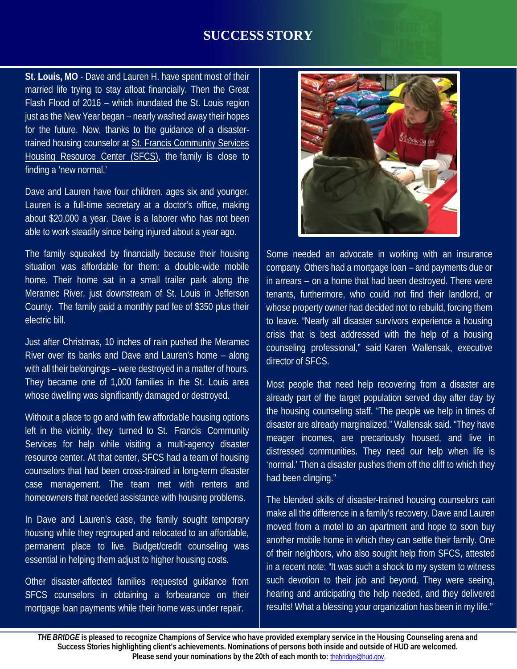## **SUCCESS STORY**

**St. Louis, MO** - Dave and Lauren H. have spent most of their married life trying to stay afloat financially. Then the Great Flash Flood of 2016 – which inundated the St. Louis region just as the New Year began – nearly washed away their hopes for the future. Now, thanks to the guidance of a disastertrained housing counselor at [St. Francis Community Services](https://www.ccstl.org/organizations/st-francis-community-services/)  H[ousing Resource Center \(SFCS\),](https://www.ccstl.org/organizations/st-francis-community-services/) the family is close to finding a 'new normal.'

Dave and Lauren have four children, ages six and younger. Lauren is a full-time secretary at a doctor's office, making about \$20,000 a year. Dave is a laborer who has not been able to work steadily since being injured about a year ago.

The family squeaked by financially because their housing situation was affordable for them: a double-wide mobile home. Their home sat in a small trailer park along the Meramec River, just downstream of St. Louis in Jefferson County. The family paid a monthly pad fee of \$350 plus their electric bill.

Just after Christmas, 10 inches of rain pushed the Meramec River over its banks and Dave and Lauren's home – along with all their belongings – were destroyed in a matter of hours. They became one of 1,000 families in the St. Louis area whose dwelling was significantly damaged or destroyed.

Without a place to go and with few affordable housing options left in the vicinity, they turned to St. Francis Community Services for help while visiting a multi-agency disaster resource center. At that center, SFCS had a team of housing counselors that had been cross-trained in long-term disaster case management. The team met with renters and homeowners that needed assistance with housing problems.

In Dave and Lauren's case, the family sought temporary housing while they regrouped and relocated to an affordable, permanent place to live. Budget/credit counseling was essential in helping them adjust to higher housing costs.

Other disaster-affected families requested guidance from SFCS counselors in obtaining a forbearance on their mortgage loan payments while their home was under repair.



Some needed an advocate in working with an insurance company. Others had a mortgage loan – and payments due or in arrears – on a home that had been destroyed. There were tenants, furthermore, who could not find their landlord, or whose property owner had decided not to rebuild, forcing them to leave. "Nearly all disaster survivors experience a housing crisis that is best addressed with the help of a housing counseling professional," said Karen Wallensak, executive director of SFCS.

Most people that need help recovering from a disaster are already part of the target population served day after day by the housing counseling staff. "The people we help in times of disaster are already marginalized," Wallensak said. "They have meager incomes, are precariously housed, and live in distressed communities. They need our help when life is 'normal.' Then a disaster pushes them off the cliff to which they had been clinging."

The blended skills of disaster-trained housing counselors can make all the difference in a family's recovery. Dave and Lauren moved from a motel to an apartment and hope to soon buy another mobile home in which they can settle their family. One of their neighbors, who also sought help from SFCS, attested in a recent note: "It was such a shock to my system to witness such devotion to their job and beyond. They were seeing, hearing and anticipating the help needed, and they delivered results! What a blessing your organization has been in my life."

BRIDGE is pleased to recognize Champions of Service who have provided exemplary service in the Housing Counseling aren<br>Success Stories highlighting client's achievements. Nominations of persons both inside and outside of H Please send your nominations by the 20th of each month to: **[thebridge@hud.gov.](mailto:thebridge@hud.gov)** *THE BRIDGE* **is pleased to recognize Champions of Service who have provided exemplary service in the Housing Counseling arena and**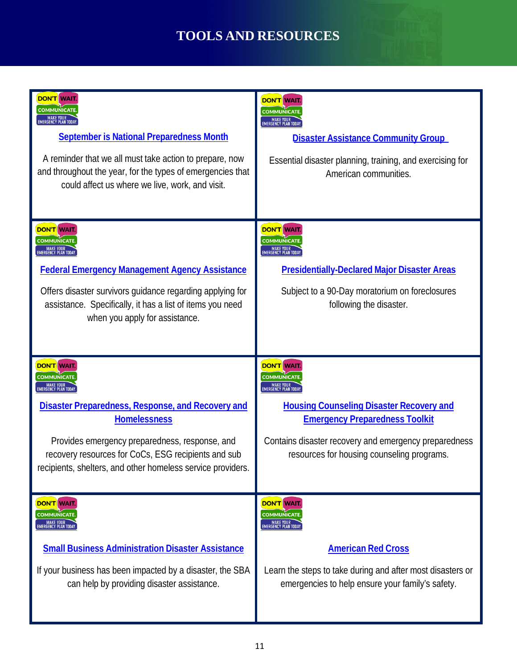# **TOOLS ANDRESOURCES**

| <b>DON'T WAIT.</b><br><b>COMMUNICATE</b><br>MAKE YOUR<br>EMERGENCY PLAN TODAY.<br><b>September is National Preparedness Month</b><br>A reminder that we all must take action to prepare, now<br>and throughout the year, for the types of emergencies that<br>could affect us where we live, work, and visit.                           | <b>DON'T WAIT.</b><br><b>COMMUNICATE</b><br>MAKE YOUR<br>EMERGENCY PLAN TODAY.<br><b>Disaster Assistance Community Group</b><br>Essential disaster planning, training, and exercising for<br>American communities.                                                               |
|-----------------------------------------------------------------------------------------------------------------------------------------------------------------------------------------------------------------------------------------------------------------------------------------------------------------------------------------|----------------------------------------------------------------------------------------------------------------------------------------------------------------------------------------------------------------------------------------------------------------------------------|
| <b>DON'T WAIT</b><br><b>COMMUNICATE</b><br>MAKE YOUR<br>EMERGENCY PLAN TODAY.<br><b>Federal Emergency Management Agency Assistance</b><br>Offers disaster survivors guidance regarding applying for<br>assistance. Specifically, it has a list of items you need<br>when you apply for assistance.                                      | <b>DON'T WAIT</b><br><b>COMMUNICATE</b><br>MAKE YOUR<br>EMERGENCY PLAN TODAY.<br><b>Presidentially-Declared Major Disaster Areas</b><br>Subject to a 90-Day moratorium on foreclosures<br>following the disaster.                                                                |
|                                                                                                                                                                                                                                                                                                                                         |                                                                                                                                                                                                                                                                                  |
| <b>DON'T WAIT</b><br><b>COMMUNICATE</b><br>MAKE YOUR<br>EMERGENCY PLAN TODAY<br><b>Disaster Preparedness, Response, and Recovery and</b><br><b>Homelessness</b><br>Provides emergency preparedness, response, and<br>recovery resources for CoCs, ESG recipients and sub<br>recipients, shelters, and other homeless service providers. | <b>DON'T WAIT.</b><br><b>COMMUNICATE</b><br>MAKE YOUR<br>EMERGENCY PLAN TODAY<br><b>Housing Counseling Disaster Recovery and</b><br><b>Emergency Preparedness Toolkit</b><br>Contains disaster recovery and emergency preparedness<br>resources for housing counseling programs. |